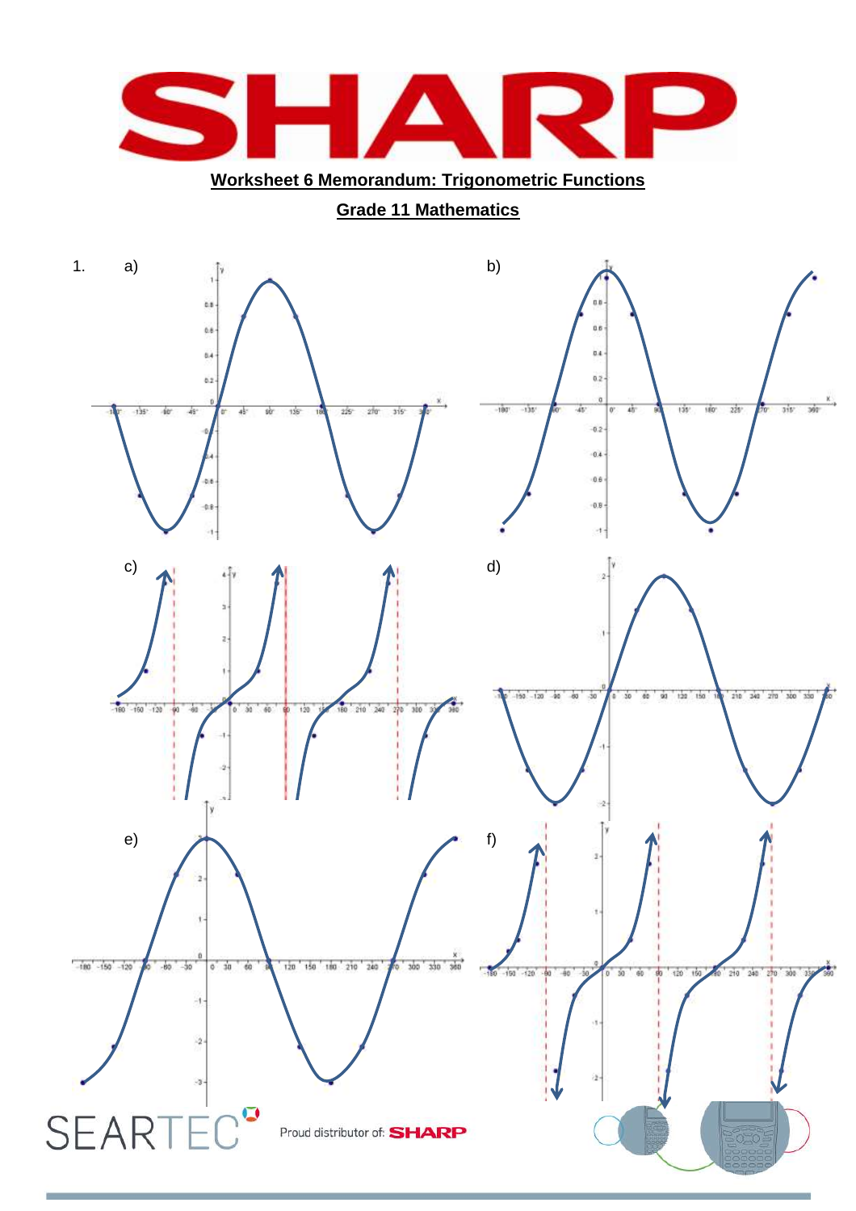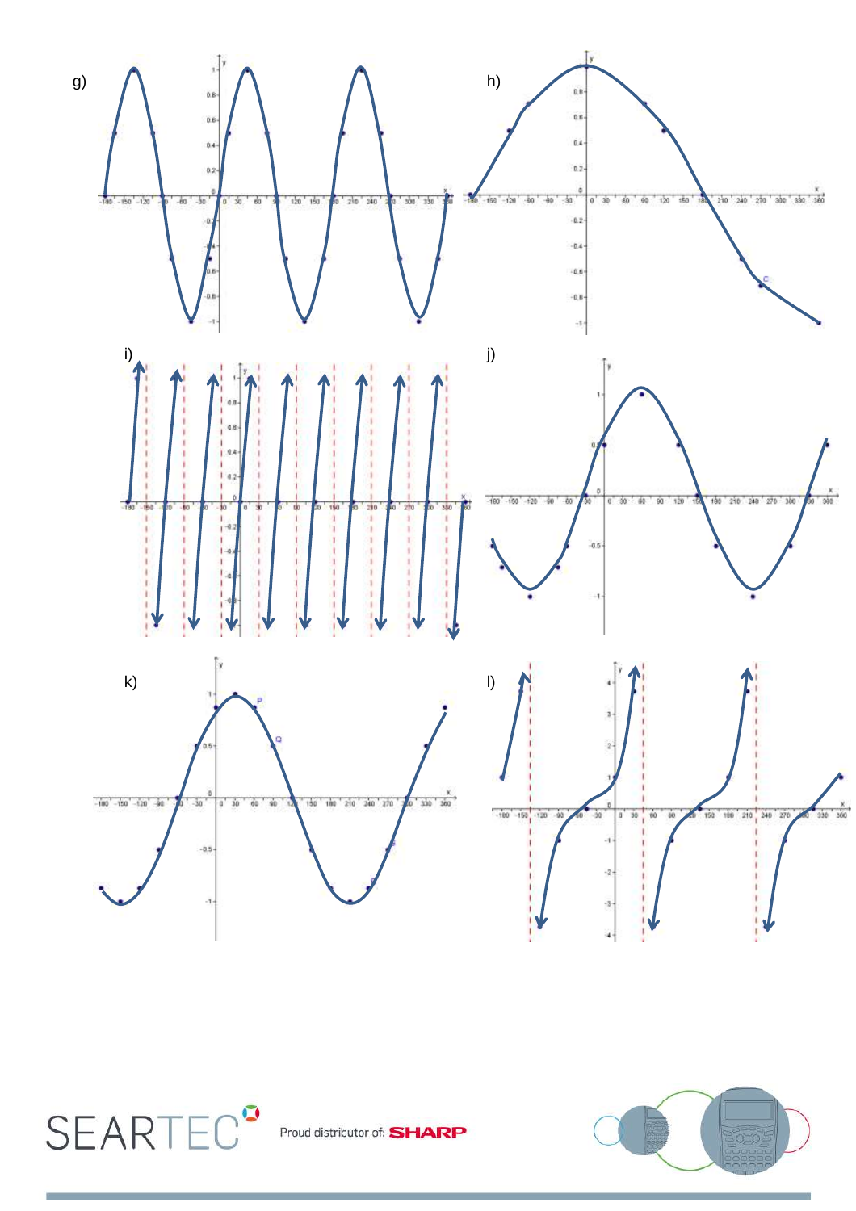



Proud distributor of: **SHARP** 

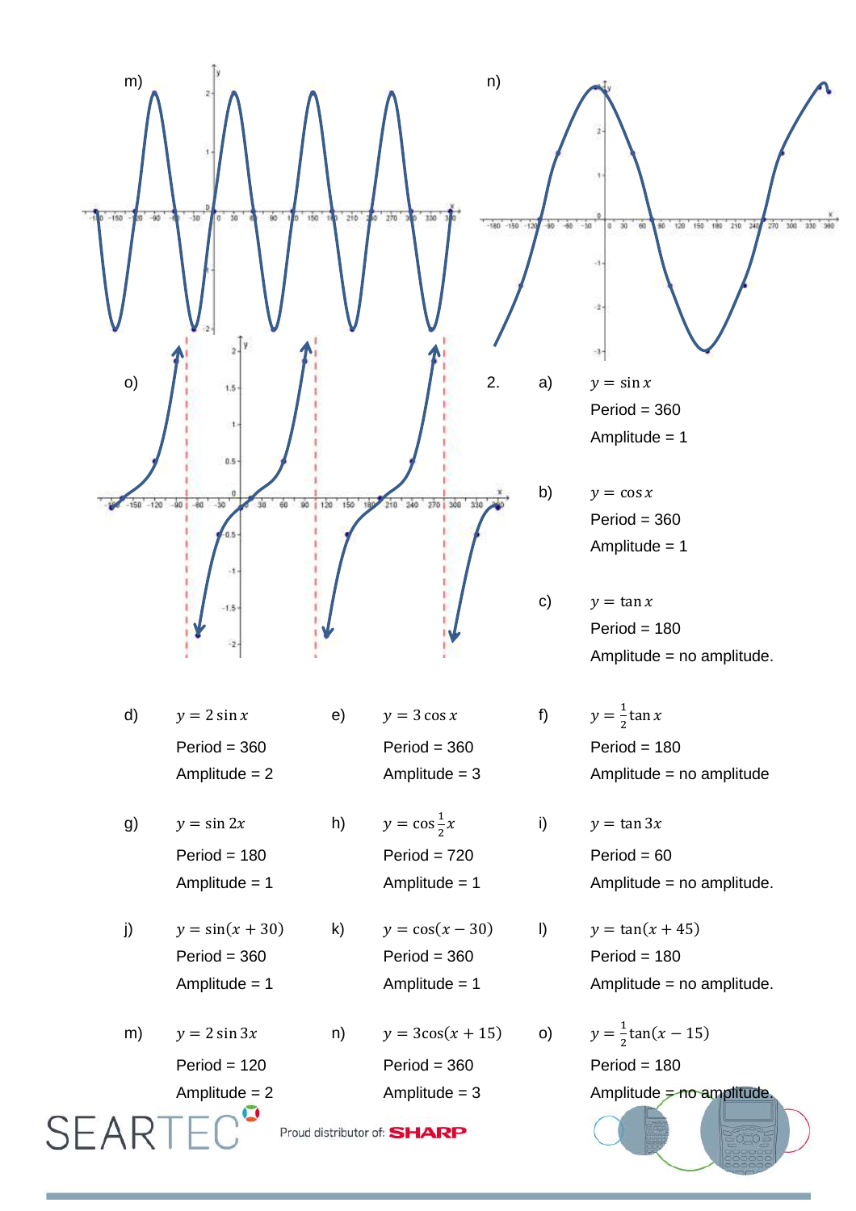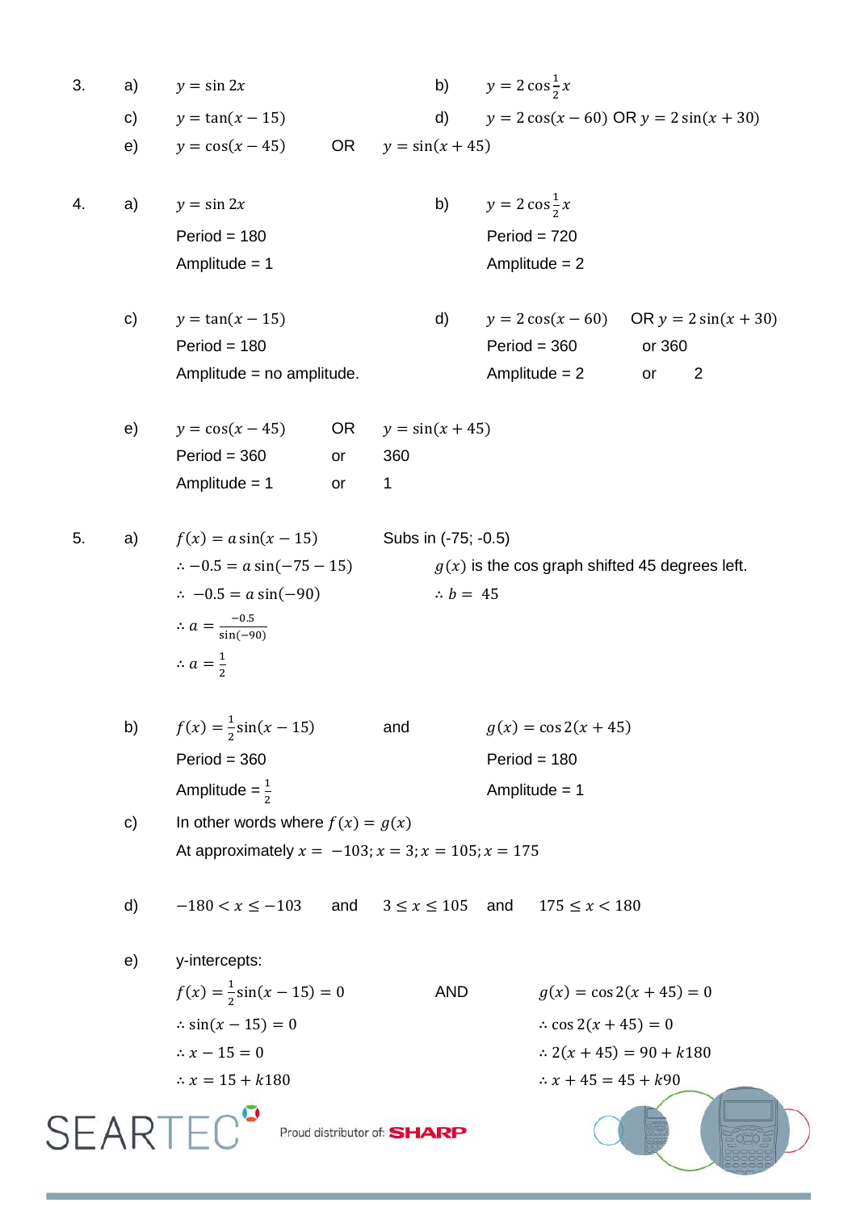| 3.                                           | a)            | $y = \sin 2x$                                                 |           | b)                                               | $y = 2 \cos \frac{1}{2} x$                          |                                            |
|----------------------------------------------|---------------|---------------------------------------------------------------|-----------|--------------------------------------------------|-----------------------------------------------------|--------------------------------------------|
|                                              | $\mathsf{c})$ | $y = \tan(x - 15)$                                            |           | d)                                               | $y = 2 \cos(x - 60) \text{ OR } y = 2 \sin(x + 30)$ |                                            |
|                                              | e)            | $y = cos(x - 45)$                                             | <b>OR</b> | $y = \sin(x + 45)$                               |                                                     |                                            |
| 4.                                           | a)            | $y = \sin 2x$                                                 |           |                                                  | b) $y = 2 \cos \frac{1}{2} x$                       |                                            |
|                                              |               | $Period = 180$                                                |           |                                                  | $Period = 720$                                      |                                            |
|                                              |               | Amplitude $= 1$                                               |           |                                                  | Amplitude $= 2$                                     |                                            |
|                                              | c)            | $y = \tan(x - 15)$                                            |           | d)                                               |                                                     | $y = 2\cos(x - 60)$ OR $y = 2\sin(x + 30)$ |
|                                              |               | $Period = 180$                                                |           |                                                  | $Period = 360$                                      | or 360                                     |
|                                              |               | Amplitude = no amplitude.                                     |           |                                                  | Amplitude $= 2$                                     | 2<br>or                                    |
|                                              | e)            | $y = cos(x - 45)$                                             | OR        | $y = \sin(x + 45)$                               |                                                     |                                            |
|                                              |               | $Period = 360$                                                | or        | 360                                              |                                                     |                                            |
|                                              |               | Amplitude = $1$                                               | or        | 1                                                |                                                     |                                            |
| 5.                                           | a)            | $f(x) = a \sin(x - 15)$<br>Subs in (-75; -0.5)                |           |                                                  |                                                     |                                            |
|                                              |               | $\therefore -0.5 = a \sin(-75 - 15)$                          |           | $g(x)$ is the cos graph shifted 45 degrees left. |                                                     |                                            |
|                                              |               | $\therefore$ -0.5 = a sin(-90)<br>$\therefore b = 45$         |           |                                                  |                                                     |                                            |
|                                              |               | $\therefore a = \frac{-0.5}{\sin(-90)}$                       |           |                                                  |                                                     |                                            |
|                                              |               | $\therefore a = \frac{1}{2}$                                  |           |                                                  |                                                     |                                            |
|                                              | b)            | $f(x) = \frac{1}{2} \sin(x - 15)$                             |           | and                                              | $g(x) = \cos 2(x + 45)$                             |                                            |
|                                              |               | $Period = 360$                                                |           |                                                  | $Period = 180$                                      |                                            |
|                                              |               | Amplitude = $\frac{1}{2}$                                     |           | Amplitude = $1$                                  |                                                     |                                            |
|                                              | c)            | In other words where $f(x) = g(x)$                            |           |                                                  |                                                     |                                            |
|                                              |               | At approximately $x = -103$ ; $x = 3$ ; $x = 105$ ; $x = 175$ |           |                                                  |                                                     |                                            |
|                                              |               |                                                               |           |                                                  |                                                     |                                            |
|                                              | d)            | $-180 < x \le -103$                                           | and       | $3 \le x \le 105$ and                            | $175 \leq x < 180$                                  |                                            |
|                                              | e)            | y-intercepts:                                                 |           |                                                  |                                                     |                                            |
|                                              |               | $f(x) = \frac{1}{2} \sin(x - 15) = 0$                         |           | <b>AND</b>                                       | $g(x) = \cos 2(x + 45) = 0$                         |                                            |
|                                              |               | $\therefore \sin(x - 15) = 0$                                 |           |                                                  | $\therefore$ cos 2(x + 45) = 0                      |                                            |
|                                              |               | $\therefore x - 15 = 0$                                       |           |                                                  | $\therefore$ 2(x + 45) = 90 + k180                  |                                            |
|                                              |               | $\therefore$ x = 15 + k180                                    |           |                                                  | $\therefore$ x + 45 = 45 + $k$ 90                   |                                            |
| <b>SEARTE</b><br>Proud distributor of: SHARP |               |                                                               |           |                                                  |                                                     |                                            |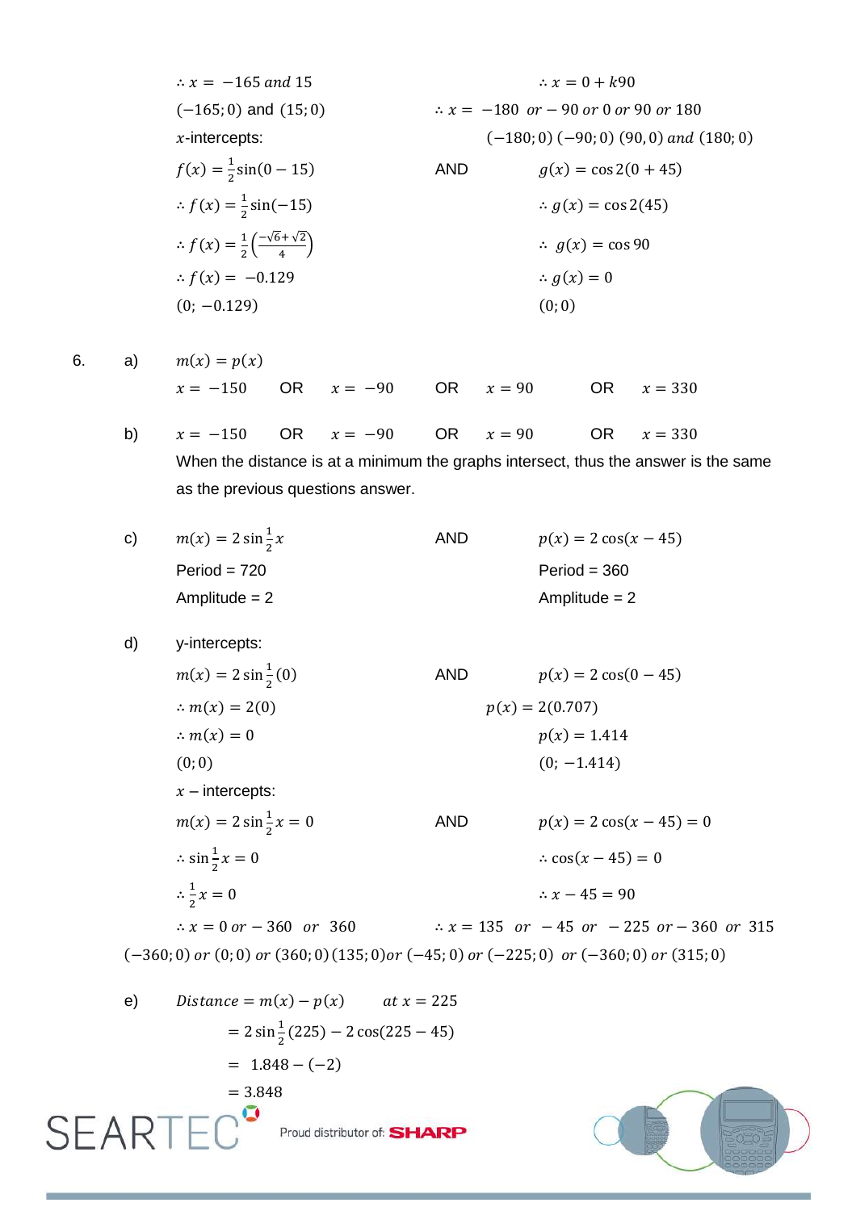$\therefore$  x = -165 and 15  $\therefore x = 0 + k90$  $(-165, 0)$  and  $(15, 0)$   $\therefore x = -180$  or  $-90$  or  $0$  or  $90$  or  $180$  $x$ -intercepts:  $(-180, 0) (-90, 0) (90, 0)$  and  $(180, 0)$  $f(x) = \frac{1}{2}$ AND  $q(x) = \cos 2(0 + 45)$  $\overline{\mathbf{c}}$  $\therefore f(x) = \frac{1}{2}$  $ig(x) = \cos 2(45)$  $\overline{\mathbf{c}}$  $\therefore f(x) = \frac{1}{2}$  $\frac{1}{2} \left( \frac{-\sqrt{6} + \sqrt{2}}{4} \right)$  $\therefore$   $g(x) = \cos 90$ 4  $\therefore f(x) = -0.129$   $\therefore g(x) = 0$  $(0, -0.129)$  (0,0) 6. a)  $m(x) = p(x)$  $x = -150$  OR  $x = -90$  OR  $x = 90$  OR  $x = 330$ b)  $x = -150$  OR  $x = -90$  OR  $x = 90$  OR  $x = 330$ When the distance is at a minimum the graphs intersect, thus the answer is the same as the previous questions answer. AND  $p(x) = 2 \cos(x - 45)$ c)  $m(x) = 2 \sin \frac{1}{2}$  $Period = 720$  Period = 360 Amplitude = 2 Amplitude = 2 d) y-intercepts:  $m(x) = 2 \sin \frac{1}{2}$ AND  $p(x) = 2 \cos(0 - 45)$  $\overline{\mathbf{c}}$  $\therefore m(x) = 2(0)$   $p(x) = 2(0.707)$  $\therefore m(x) = 0$   $p(x) = 1.414$  $(0, 0)$   $(0, -1.414)$  $x$  – intercepts: AND  $p(x) = 2 \cos(x - 45) = 0$  $m(x) = 2 \sin \frac{1}{2}$  $\therefore$  cos(x - 45) = 0  $\therefore$  sin $\frac{1}{2}$  $\frac{1}{2}$  $\therefore x - 45 = 90$  $rac{1}{2}x$  $\therefore$  x = 0 or - 360 or 360  $\therefore$  x = 135 or -45 or -225 or -360 or 315  $(-360; 0)$  or  $(0; 0)$  or  $(360; 0)$   $(135; 0)$  or  $(-45; 0)$  or  $(-225; 0)$  or  $(-360; 0)$  or  $(315; 0)$ e)  $Distance = m(x) - p(x)$   $at x = 225$  $= 2 \sin \frac{1}{2} (225) - 2 \cos(225 - 45)$  $= 1.848 - (-2)$ 

Proud distributor of: **SHARP** 

 $= 3.848$ 

SEARTI